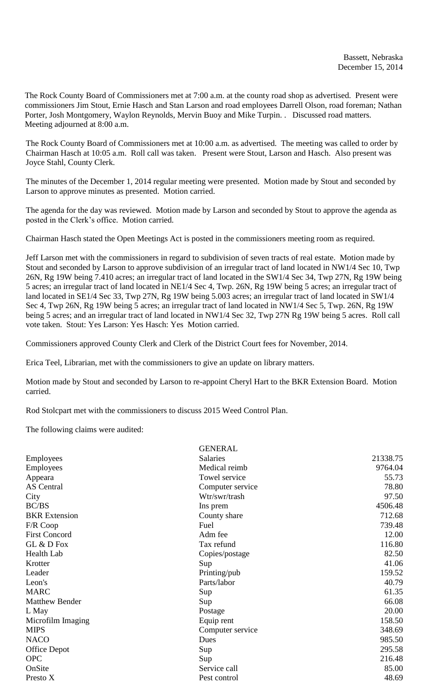The Rock County Board of Commissioners met at 7:00 a.m. at the county road shop as advertised. Present were commissioners Jim Stout, Ernie Hasch and Stan Larson and road employees Darrell Olson, road foreman; Nathan Porter, Josh Montgomery, Waylon Reynolds, Mervin Buoy and Mike Turpin. . Discussed road matters. Meeting adjourned at 8:00 a.m.

The Rock County Board of Commissioners met at 10:00 a.m. as advertised. The meeting was called to order by Chairman Hasch at 10:05 a.m. Roll call was taken. Present were Stout, Larson and Hasch. Also present was Joyce Stahl, County Clerk.

The minutes of the December 1, 2014 regular meeting were presented. Motion made by Stout and seconded by Larson to approve minutes as presented. Motion carried.

The agenda for the day was reviewed. Motion made by Larson and seconded by Stout to approve the agenda as posted in the Clerk's office. Motion carried.

Chairman Hasch stated the Open Meetings Act is posted in the commissioners meeting room as required.

Jeff Larson met with the commissioners in regard to subdivision of seven tracts of real estate. Motion made by Stout and seconded by Larson to approve subdivision of an irregular tract of land located in NW1/4 Sec 10, Twp 26N, Rg 19W being 7.410 acres; an irregular tract of land located in the SW1/4 Sec 34, Twp 27N, Rg 19W being 5 acres; an irregular tract of land located in NE1/4 Sec 4, Twp. 26N, Rg 19W being 5 acres; an irregular tract of land located in SE1/4 Sec 33, Twp 27N, Rg 19W being 5.003 acres; an irregular tract of land located in SW1/4 Sec 4, Twp 26N, Rg 19W being 5 acres; an irregular tract of land located in NW1/4 Sec 5, Twp. 26N, Rg 19W being 5 acres; and an irregular tract of land located in NW1/4 Sec 32, Twp 27N Rg 19W being 5 acres. Roll call vote taken. Stout: Yes Larson: Yes Hasch: Yes Motion carried.

Commissioners approved County Clerk and Clerk of the District Court fees for November, 2014.

Erica Teel, Librarian, met with the commissioners to give an update on library matters.

Motion made by Stout and seconded by Larson to re-appoint Cheryl Hart to the BKR Extension Board. Motion carried.

Rod Stolcpart met with the commissioners to discuss 2015 Weed Control Plan.

The following claims were audited:

|                       | <b>GENERAL</b>   |          |
|-----------------------|------------------|----------|
| Employees             | <b>Salaries</b>  | 21338.75 |
| Employees             | Medical reimb    | 9764.04  |
| Appeara               | Towel service    | 55.73    |
| <b>AS</b> Central     | Computer service | 78.80    |
| City                  | Wtr/swr/trash    | 97.50    |
| BC/BS                 | Ins prem         | 4506.48  |
| <b>BKR</b> Extension  | County share     | 712.68   |
| F/R Coop              | Fuel             | 739.48   |
| <b>First Concord</b>  | Adm fee          | 12.00    |
| GL & D Fox            | Tax refund       | 116.80   |
| Health Lab            | Copies/postage   | 82.50    |
| Krotter               | Sup              | 41.06    |
| Leader                | Printing/pub     | 159.52   |
| Leon's                | Parts/labor      | 40.79    |
| <b>MARC</b>           | Sup              | 61.35    |
| <b>Matthew Bender</b> | Sup              | 66.08    |
| L May                 | Postage          | 20.00    |
| Microfilm Imaging     | Equip rent       | 158.50   |
| <b>MIPS</b>           | Computer service | 348.69   |
| <b>NACO</b>           | Dues             | 985.50   |
| <b>Office Depot</b>   | Sup              | 295.58   |
| <b>OPC</b>            | Sup              | 216.48   |
| OnSite                | Service call     | 85.00    |
| Presto X              | Pest control     | 48.69    |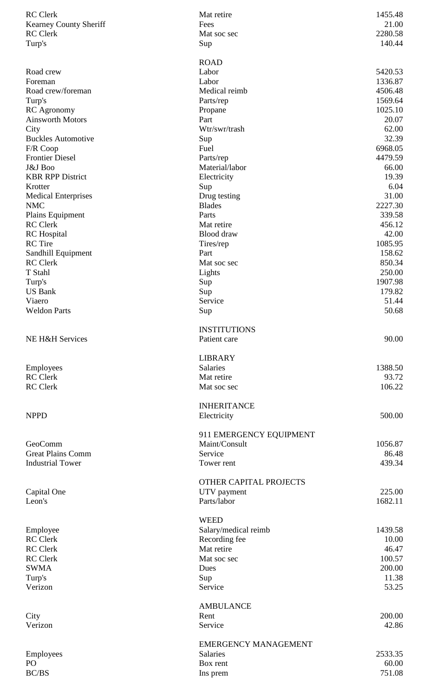| <b>RC</b> Clerk               | Mat retire                  | 1455.48 |
|-------------------------------|-----------------------------|---------|
| <b>Kearney County Sheriff</b> | Fees                        | 21.00   |
| <b>RC</b> Clerk               | Mat soc sec                 | 2280.58 |
| Turp's                        | Sup                         | 140.44  |
|                               |                             |         |
|                               | <b>ROAD</b>                 |         |
| Road crew                     | Labor                       | 5420.53 |
| Foreman                       | Labor                       | 1336.87 |
| Road crew/foreman             | Medical reimb               | 4506.48 |
| Turp's                        | Parts/rep                   | 1569.64 |
| <b>RC</b> Agronomy            | Propane                     | 1025.10 |
| <b>Ainsworth Motors</b>       | Part                        | 20.07   |
| City                          | Wtr/swr/trash               | 62.00   |
| <b>Buckles Automotive</b>     | Sup                         | 32.39   |
| F/R Coop                      | Fuel                        | 6968.05 |
| <b>Frontier Diesel</b>        | Parts/rep                   | 4479.59 |
| J&J Boo                       | Material/labor              | 66.00   |
| <b>KBR RPP District</b>       | Electricity                 | 19.39   |
| Krotter                       | Sup                         | 6.04    |
| <b>Medical Enterprises</b>    | Drug testing                | 31.00   |
| <b>NMC</b>                    | <b>Blades</b>               | 2227.30 |
| Plains Equipment              | Parts                       | 339.58  |
| <b>RC</b> Clerk               | Mat retire                  | 456.12  |
| <b>RC</b> Hospital            | Blood draw                  | 42.00   |
| <b>RC</b> Tire                | Tires/rep                   | 1085.95 |
| Sandhill Equipment            | Part                        | 158.62  |
| <b>RC</b> Clerk               | Mat soc sec                 | 850.34  |
| T Stahl                       | Lights                      | 250.00  |
| Turp's                        | Sup                         | 1907.98 |
| <b>US Bank</b>                | Sup                         | 179.82  |
| Viaero                        | Service                     | 51.44   |
| <b>Weldon Parts</b>           | Sup                         | 50.68   |
|                               |                             |         |
|                               | <b>INSTITUTIONS</b>         |         |
| NE H&H Services               | Patient care                | 90.00   |
|                               |                             |         |
|                               | <b>LIBRARY</b>              |         |
|                               | <b>Salaries</b>             | 1388.50 |
| Employees<br><b>RC</b> Clerk  | Mat retire                  | 93.72   |
|                               |                             |         |
| <b>RC</b> Clerk               | Mat soc sec                 | 106.22  |
|                               | <b>INHERITANCE</b>          |         |
|                               |                             |         |
| <b>NPPD</b>                   | Electricity                 | 500.00  |
|                               |                             |         |
|                               | 911 EMERGENCY EQUIPMENT     |         |
| GeoComm                       | Maint/Consult               | 1056.87 |
| <b>Great Plains Comm</b>      | Service                     | 86.48   |
| <b>Industrial Tower</b>       | Tower rent                  | 439.34  |
|                               |                             |         |
|                               | OTHER CAPITAL PROJECTS      |         |
| Capital One                   | UTV payment                 | 225.00  |
| Leon's                        | Parts/labor                 | 1682.11 |
|                               |                             |         |
|                               | <b>WEED</b>                 |         |
| Employee                      | Salary/medical reimb        | 1439.58 |
| <b>RC</b> Clerk               | Recording fee               | 10.00   |
| <b>RC</b> Clerk               | Mat retire                  | 46.47   |
| <b>RC</b> Clerk               | Mat soc sec                 | 100.57  |
| <b>SWMA</b>                   | Dues                        | 200.00  |
| Turp's                        | Sup                         | 11.38   |
| Verizon                       | Service                     | 53.25   |
|                               |                             |         |
|                               | <b>AMBULANCE</b>            |         |
| City                          | Rent                        | 200.00  |
| Verizon                       | Service                     | 42.86   |
|                               |                             |         |
|                               | <b>EMERGENCY MANAGEMENT</b> |         |
| Employees                     | <b>Salaries</b>             | 2533.35 |
| PO                            | Box rent                    | 60.00   |
| <b>BC/BS</b>                  | Ins prem                    | 751.08  |
|                               |                             |         |